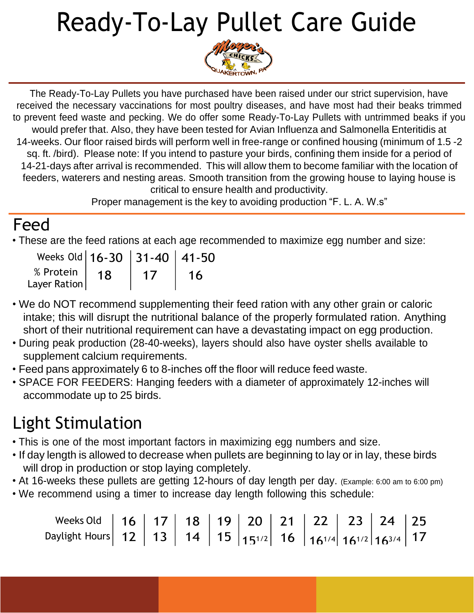## Ready-To-Lay Pullet Care Guide



The Ready-To-Lay Pullets you have purchased have been raised under our strict supervision, have received the necessary vaccinations for most poultry diseases, and have most had their beaks trimmed to prevent feed waste and pecking. We do offer some Ready-To-Lay Pullets with untrimmed beaks if you would prefer that. Also, they have been tested for Avian Influenza and Salmonella Enteritidis at 14-weeks. Our floor raised birds will perform well in free-range or confined housing (minimum of 1.5 -2 sq. ft. /bird). Please note: If you intend to pasture your birds, confining them inside for a period of 14-21-days after arrival is recommended. This will allow them to become familiar with the location of feeders, waterers and nesting areas. Smooth transition from the growing house to laying house is critical to ensure health and productivity.

Proper management is the key to avoiding production "F. L. A. W.s"

#### Feed

• These are the feed rations at each age recommended to maximize egg number and size:

| Weeks Old   16-30   31-40   41-50  |    |           |
|------------------------------------|----|-----------|
| % Protein   18<br>Layer Ration $ $ | 1/ | <b>16</b> |

- We do NOT recommend supplementing their feed ration with any other grain or caloric intake; this will disrupt the nutritional balance of the properly formulated ration. Anything short of their nutritional requirement can have a devastating impact on egg production.
- During peak production (28-40-weeks), layers should also have oyster shells available to supplement calcium requirements.
- Feed pans approximately 6 to 8-inches off the floor will reduce feed waste.
- SPACE FOR FEEDERS: Hanging feeders with a diameter of approximately 12-inches will accommodate up to 25 birds.

## Light Stimulation

- This is one of the most important factors in maximizing egg numbers and size.
- If day length is allowed to decrease when pullets are beginning to lay or in lay, these birds will drop in production or stop laying completely.
- At 16-weeks these pullets are getting 12-hours of day length per day. (Example: 6:00 am to 6:00 pm)
- We recommend using a timer to increase day length following this schedule:

Weeks Old Daylight Hours 16 12 17 13 18 14 19 15 20 151/2 21 16 22 23 24 161/4 161/2 163/4 25 17